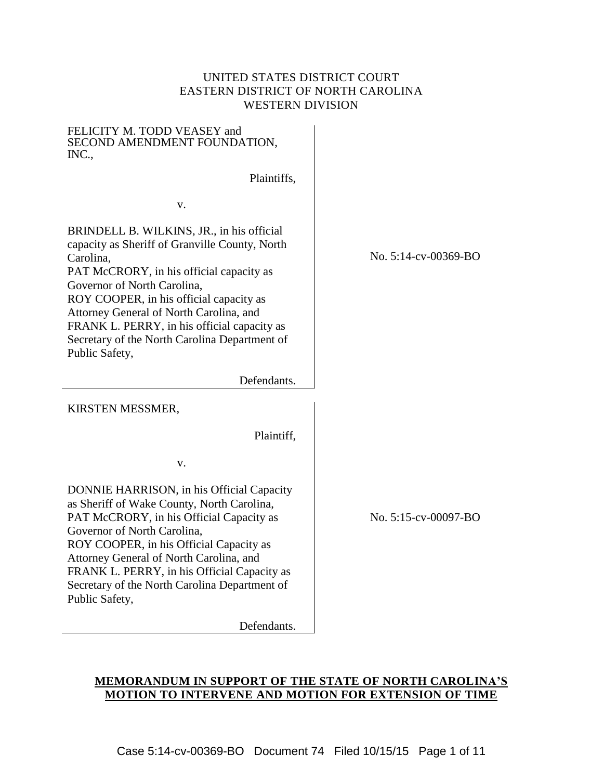## UNITED STATES DISTRICT COURT EASTERN DISTRICT OF NORTH CAROLINA WESTERN DIVISION

| FELICITY M. TODD VEASEY and<br>SECOND AMENDMENT FOUNDATION,<br>INC.,                                                                                                                                                                                                                                                                                                                        |
|---------------------------------------------------------------------------------------------------------------------------------------------------------------------------------------------------------------------------------------------------------------------------------------------------------------------------------------------------------------------------------------------|
| Plaintiffs,                                                                                                                                                                                                                                                                                                                                                                                 |
| v.                                                                                                                                                                                                                                                                                                                                                                                          |
| BRINDELL B. WILKINS, JR., in his official<br>capacity as Sheriff of Granville County, North<br>Carolina,<br>PAT McCRORY, in his official capacity as<br>Governor of North Carolina,<br>ROY COOPER, in his official capacity as<br>Attorney General of North Carolina, and<br>FRANK L. PERRY, in his official capacity as<br>Secretary of the North Carolina Department of<br>Public Safety, |
| Defendants.                                                                                                                                                                                                                                                                                                                                                                                 |
| KIRSTEN MESSMER,                                                                                                                                                                                                                                                                                                                                                                            |
| Plaintiff,                                                                                                                                                                                                                                                                                                                                                                                  |
| v.                                                                                                                                                                                                                                                                                                                                                                                          |
| DONNIE HARRISON, in his Official Capacity<br>as Sheriff of Wake County, North Carolina,<br>PAT McCRORY, in his Official Capacity as<br>Governor of North Carolina,<br>ROY COOPER, in his Official Capacity as<br>Attorney General of North Carolina, and<br>FRANK L. PERRY, in his Official Capacity as<br>Secretary of the North Carolina Department of                                    |

Public Safety,

Defendants.

### No. 5:14-cv-00369-BO

No. 5:15-cv-00097-BO

# **MEMORANDUM IN SUPPORT OF THE STATE OF NORTH CAROLINA'S MOTION TO INTERVENE AND MOTION FOR EXTENSION OF TIME**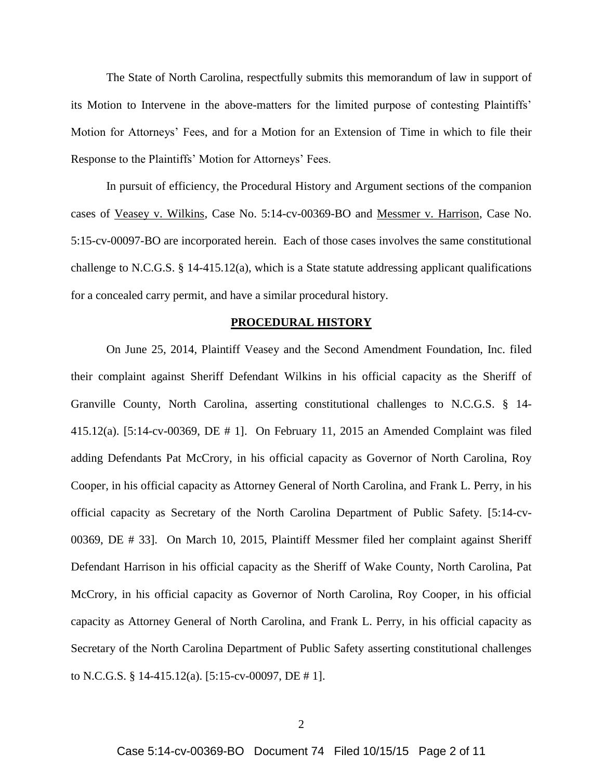The State of North Carolina, respectfully submits this memorandum of law in support of its Motion to Intervene in the above-matters for the limited purpose of contesting Plaintiffs' Motion for Attorneys' Fees, and for a Motion for an Extension of Time in which to file their Response to the Plaintiffs' Motion for Attorneys' Fees.

In pursuit of efficiency, the Procedural History and Argument sections of the companion cases of Veasey v. Wilkins, Case No. 5:14-cv-00369-BO and Messmer v. Harrison, Case No. 5:15-cv-00097-BO are incorporated herein. Each of those cases involves the same constitutional challenge to N.C.G.S.  $\S$  14-415.12(a), which is a State statute addressing applicant qualifications for a concealed carry permit, and have a similar procedural history.

#### **PROCEDURAL HISTORY**

On June 25, 2014, Plaintiff Veasey and the Second Amendment Foundation, Inc. filed their complaint against Sheriff Defendant Wilkins in his official capacity as the Sheriff of Granville County, North Carolina, asserting constitutional challenges to N.C.G.S. § 14- 415.12(a). [5:14-cv-00369, DE # 1]. On February 11, 2015 an Amended Complaint was filed adding Defendants Pat McCrory, in his official capacity as Governor of North Carolina, Roy Cooper, in his official capacity as Attorney General of North Carolina, and Frank L. Perry, in his official capacity as Secretary of the North Carolina Department of Public Safety. [5:14-cv-00369, DE # 33]. On March 10, 2015, Plaintiff Messmer filed her complaint against Sheriff Defendant Harrison in his official capacity as the Sheriff of Wake County, North Carolina, Pat McCrory, in his official capacity as Governor of North Carolina, Roy Cooper, in his official capacity as Attorney General of North Carolina, and Frank L. Perry, in his official capacity as Secretary of the North Carolina Department of Public Safety asserting constitutional challenges to N.C.G.S. § 14-415.12(a). [5:15-cv-00097, DE # 1].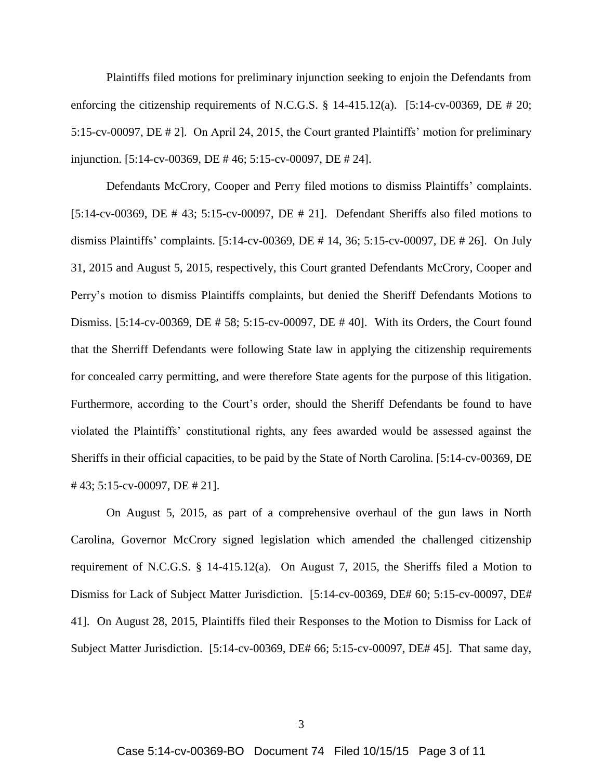Plaintiffs filed motions for preliminary injunction seeking to enjoin the Defendants from enforcing the citizenship requirements of N.C.G.S. § 14-415.12(a). [5:14-cv-00369, DE # 20; 5:15-cv-00097, DE # 2]. On April 24, 2015, the Court granted Plaintiffs' motion for preliminary injunction. [5:14-cv-00369, DE # 46; 5:15-cv-00097, DE # 24].

Defendants McCrory, Cooper and Perry filed motions to dismiss Plaintiffs' complaints. [5:14-cv-00369, DE # 43; 5:15-cv-00097, DE # 21]. Defendant Sheriffs also filed motions to dismiss Plaintiffs' complaints. [5:14-cv-00369, DE # 14, 36; 5:15-cv-00097, DE # 26]. On July 31, 2015 and August 5, 2015, respectively, this Court granted Defendants McCrory, Cooper and Perry's motion to dismiss Plaintiffs complaints, but denied the Sheriff Defendants Motions to Dismiss. [5:14-cv-00369, DE # 58; 5:15-cv-00097, DE # 40]. With its Orders, the Court found that the Sherriff Defendants were following State law in applying the citizenship requirements for concealed carry permitting, and were therefore State agents for the purpose of this litigation. Furthermore, according to the Court's order, should the Sheriff Defendants be found to have violated the Plaintiffs' constitutional rights, any fees awarded would be assessed against the Sheriffs in their official capacities, to be paid by the State of North Carolina. [5:14-cv-00369, DE # 43; 5:15-cv-00097, DE # 21].

On August 5, 2015, as part of a comprehensive overhaul of the gun laws in North Carolina, Governor McCrory signed legislation which amended the challenged citizenship requirement of N.C.G.S. § 14-415.12(a). On August 7, 2015, the Sheriffs filed a Motion to Dismiss for Lack of Subject Matter Jurisdiction. [5:14-cv-00369, DE# 60; 5:15-cv-00097, DE# 41]. On August 28, 2015, Plaintiffs filed their Responses to the Motion to Dismiss for Lack of Subject Matter Jurisdiction. [5:14-cv-00369, DE# 66; 5:15-cv-00097, DE# 45]. That same day,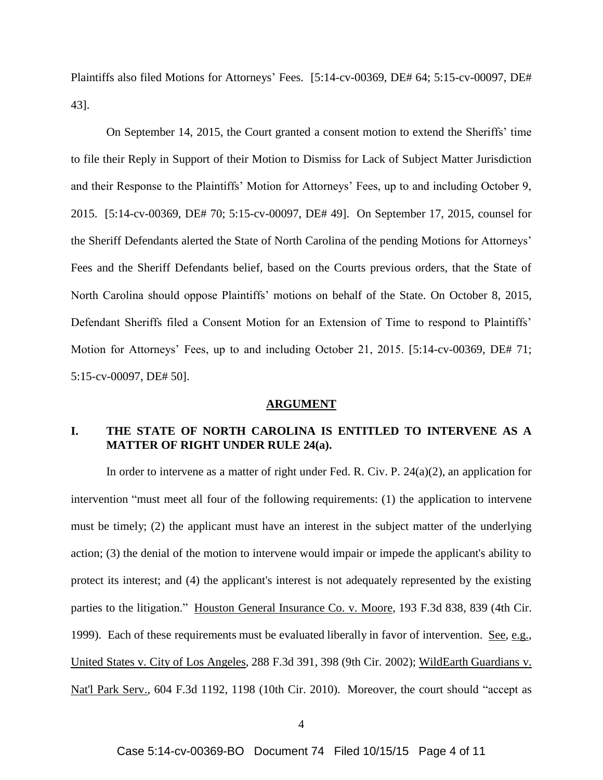Plaintiffs also filed Motions for Attorneys' Fees. [5:14-cv-00369, DE# 64; 5:15-cv-00097, DE# 43].

On September 14, 2015, the Court granted a consent motion to extend the Sheriffs' time to file their Reply in Support of their Motion to Dismiss for Lack of Subject Matter Jurisdiction and their Response to the Plaintiffs' Motion for Attorneys' Fees, up to and including October 9, 2015. [5:14-cv-00369, DE# 70; 5:15-cv-00097, DE# 49]. On September 17, 2015, counsel for the Sheriff Defendants alerted the State of North Carolina of the pending Motions for Attorneys' Fees and the Sheriff Defendants belief, based on the Courts previous orders, that the State of North Carolina should oppose Plaintiffs' motions on behalf of the State. On October 8, 2015, Defendant Sheriffs filed a Consent Motion for an Extension of Time to respond to Plaintiffs' Motion for Attorneys' Fees, up to and including October 21, 2015. [5:14-cv-00369, DE# 71; 5:15-cv-00097, DE# 50].

#### **ARGUMENT**

## **I. THE STATE OF NORTH CAROLINA IS ENTITLED TO INTERVENE AS A MATTER OF RIGHT UNDER RULE 24(a).**

In order to intervene as a matter of right under Fed. R. Civ. P. 24(a)(2), an application for intervention "must meet all four of the following requirements: (1) the application to intervene must be timely; (2) the applicant must have an interest in the subject matter of the underlying action; (3) the denial of the motion to intervene would impair or impede the applicant's ability to protect its interest; and (4) the applicant's interest is not adequately represented by the existing parties to the litigation." Houston General Insurance Co. v. Moore, 193 F.3d 838, 839 (4th Cir. 1999). Each of these requirements must be evaluated liberally in favor of intervention. See, e.g., United States v. City of Los Angeles, 288 F.3d 391, 398 (9th Cir. 2002); WildEarth Guardians v. Nat'l Park Serv., 604 F.3d 1192, 1198 (10th Cir. 2010). Moreover, the court should "accept as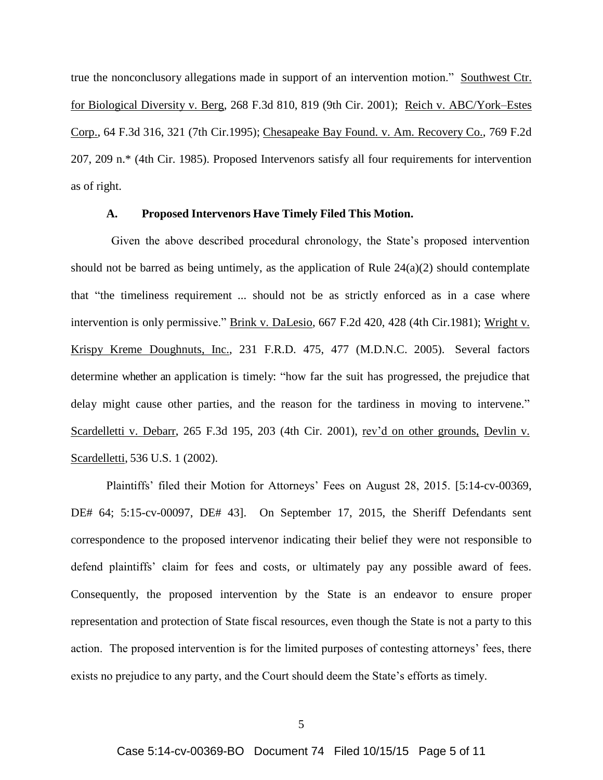true the nonconclusory allegations made in support of an intervention motion." Southwest Ctr. for Biological Diversity v. Berg, 268 F.3d 810, 819 (9th Cir. 2001); Reich v. ABC/York–Estes Corp., 64 F.3d 316, 321 (7th Cir.1995); Chesapeake Bay Found. v. Am. Recovery Co., 769 F.2d 207, 209 n.\* (4th Cir. 1985). Proposed Intervenors satisfy all four requirements for intervention as of right.

### **A. Proposed Intervenors Have Timely Filed This Motion.**

Given the above described procedural chronology, the State's proposed intervention should not be barred as being untimely, as the application of Rule  $24(a)(2)$  should contemplate that "the timeliness requirement ... should not be as strictly enforced as in a case where intervention is only permissive." Brink v. DaLesio, 667 F.2d 420, 428 (4th Cir.1981); Wright v. Krispy Kreme Doughnuts, Inc., 231 F.R.D. 475, 477 (M.D.N.C. 2005). Several factors determine whether an application is timely: "how far the suit has progressed, the prejudice that delay might cause other parties, and the reason for the tardiness in moving to intervene." Scardelletti v. Debarr, 265 F.3d 195, 203 (4th Cir. 2001), rev'd on other grounds, Devlin v. Scardelletti, 536 U.S. 1 (2002).

Plaintiffs' filed their Motion for Attorneys' Fees on August 28, 2015. [5:14-cv-00369, DE# 64; 5:15-cv-00097, DE# 43]. On September 17, 2015, the Sheriff Defendants sent correspondence to the proposed intervenor indicating their belief they were not responsible to defend plaintiffs' claim for fees and costs, or ultimately pay any possible award of fees. Consequently, the proposed intervention by the State is an endeavor to ensure proper representation and protection of State fiscal resources, even though the State is not a party to this action. The proposed intervention is for the limited purposes of contesting attorneys' fees, there exists no prejudice to any party, and the Court should deem the State's efforts as timely.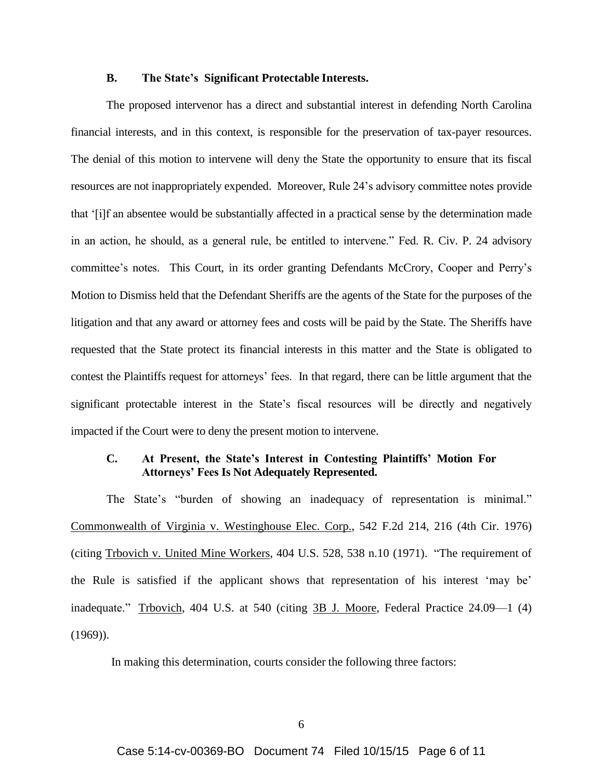### **B. The State's Significant Protectable Interests.**

 The proposed intervenor has a direct and substantial interest in defending North Carolina financial interests, and in this context, is responsible for the preservation of tax-payer resources. The denial of this motion to intervene will deny the State the opportunity to ensure that its fiscal resources are not inappropriately expended. Moreover, Rule 24's advisory committee notes provide that '[i]f an absentee would be substantially affected in a practical sense by the determination made in an action, he should, as a general rule, be entitled to intervene." Fed. R. Civ. P. 24 advisory committee's notes. This Court, in its order granting Defendants McCrory, Cooper and Perry's Motion to Dismiss held that the Defendant Sheriffs are the agents of the State for the purposes of the litigation and that any award or attorney fees and costs will be paid by the State. The Sheriffs have requested that the State protect its financial interests in this matter and the State is obligated to contest the Plaintiffs request for attorneys' fees. In that regard, there can be little argument that the significant protectable interest in the State's fiscal resources will be directly and negatively impacted if the Court were to deny the present motion to intervene.

### **C. At Present, the State's Interest in Contesting Plaintiffs' Motion For Attorneys' Fees Is Not Adequately Represented.**

The State's "burden of showing an inadequacy of representation is minimal." Commonwealth of Virginia v. Westinghouse Elec. Corp., 542 F.2d 214, 216 (4th Cir. 1976) (citing Trbovich v. United Mine Workers, 404 U.S. 528, 538 n.10 (1971). "The requirement of the Rule is satisfied if the applicant shows that representation of his interest 'may be' inadequate." Trbovich, 404 U.S. at 540 (citing 3B J. Moore, Federal Practice 24.09—1 (4) (1969)).

In making this determination, courts consider the following three factors: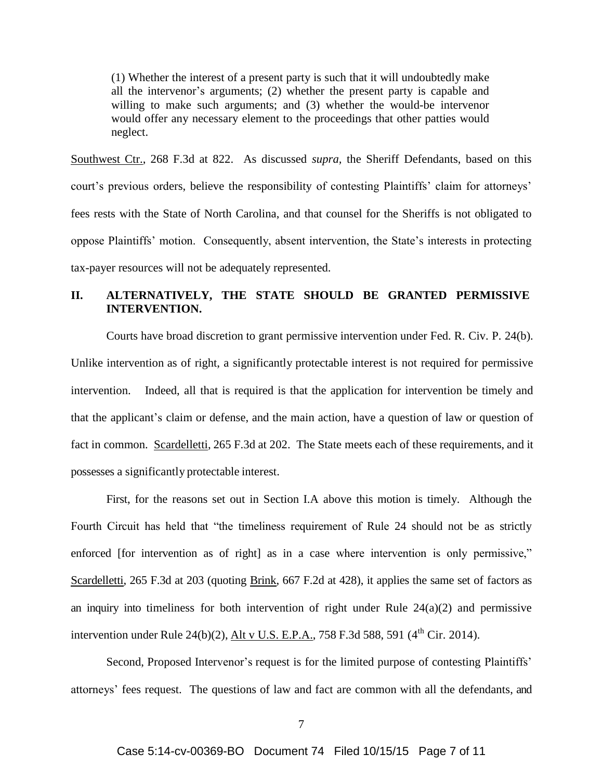(1) Whether the interest of a present party is such that it will undoubtedly make all the intervenor's arguments; (2) whether the present party is capable and willing to make such arguments; and (3) whether the would-be intervenor would offer any necessary element to the proceedings that other patties would neglect.

Southwest Ctr., 268 F.3d at 822. As discussed *supra,* the Sheriff Defendants, based on this court's previous orders, believe the responsibility of contesting Plaintiffs' claim for attorneys' fees rests with the State of North Carolina, and that counsel for the Sheriffs is not obligated to oppose Plaintiffs' motion. Consequently, absent intervention, the State's interests in protecting tax-payer resources will not be adequately represented.

# **II. ALTERNATIVELY, THE STATE SHOULD BE GRANTED PERMISSIVE INTERVENTION.**

Courts have broad discretion to grant permissive intervention under Fed. R. Civ. P. 24(b). Unlike intervention as of right, a significantly protectable interest is not required for permissive intervention. Indeed, all that is required is that the application for intervention be timely and that the applicant's claim or defense, and the main action, have a question of law or question of fact in common. Scardelletti, 265 F.3d at 202. The State meets each of these requirements, and it possesses a significantly protectable interest.

First, for the reasons set out in Section I.A above this motion is timely. Although the Fourth Circuit has held that "the timeliness requirement of Rule 24 should not be as strictly enforced [for intervention as of right] as in a case where intervention is only permissive," Scardelletti, 265 F.3d at 203 (quoting Brink, 667 F.2d at 428), it applies the same set of factors as an inquiry into timeliness for both intervention of right under Rule  $24(a)(2)$  and permissive intervention under Rule 24(b)(2), Alt v U.S. E.P.A., 758 F.3d 588, 591 ( $4^{\text{th}}$  Cir. 2014).

Second, Proposed Intervenor's request is for the limited purpose of contesting Plaintiffs' attorneys' fees request. The questions of law and fact are common with all the defendants, and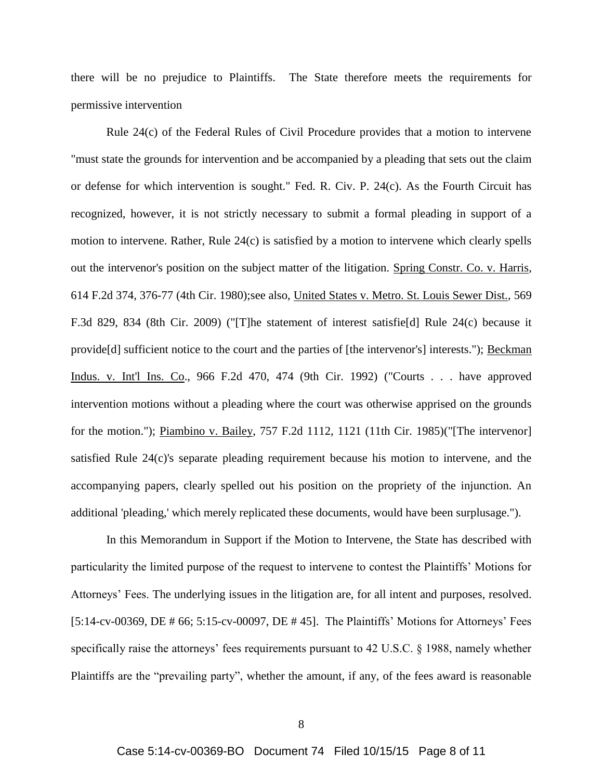there will be no prejudice to Plaintiffs. The State therefore meets the requirements for permissive intervention

Rule 24(c) of the Federal Rules of Civil Procedure provides that a motion to intervene "must state the grounds for intervention and be accompanied by a pleading that sets out the claim or defense for which intervention is sought." Fed. R. Civ. P. 24(c). As the Fourth Circuit has recognized, however, it is not strictly necessary to submit a formal pleading in support of a motion to intervene. Rather, Rule 24(c) is satisfied by a motion to intervene which clearly spells out the intervenor's position on the subject matter of the litigation. Spring Constr. Co. v. Harris, 614 F.2d 374, 376-77 (4th Cir. 1980);see also, United States v. Metro. St. Louis Sewer Dist., 569 F.3d 829, 834 (8th Cir. 2009) ("[T]he statement of interest satisfie[d] Rule 24(c) because it provide[d] sufficient notice to the court and the parties of [the intervenor's] interests."); Beckman Indus. v. Int'l Ins. Co., 966 F.2d 470, 474 (9th Cir. 1992) ("Courts . . . have approved intervention motions without a pleading where the court was otherwise apprised on the grounds for the motion."); Piambino v. Bailey, 757 F.2d 1112, 1121 (11th Cir. 1985)("[The intervenor] satisfied Rule 24(c)'s separate pleading requirement because his motion to intervene, and the accompanying papers, clearly spelled out his position on the propriety of the injunction. An additional 'pleading,' which merely replicated these documents, would have been surplusage.").

In this Memorandum in Support if the Motion to Intervene, the State has described with particularity the limited purpose of the request to intervene to contest the Plaintiffs' Motions for Attorneys' Fees. The underlying issues in the litigation are, for all intent and purposes, resolved. [5:14-cv-00369, DE # 66; 5:15-cv-00097, DE # 45]. The Plaintiffs' Motions for Attorneys' Fees specifically raise the attorneys' fees requirements pursuant to 42 U.S.C. § 1988, namely whether Plaintiffs are the "prevailing party", whether the amount, if any, of the fees award is reasonable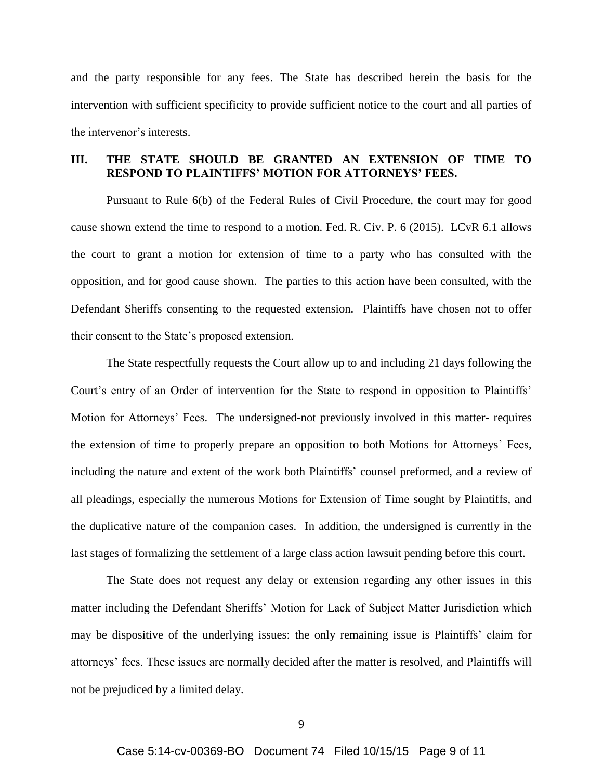and the party responsible for any fees. The State has described herein the basis for the intervention with sufficient specificity to provide sufficient notice to the court and all parties of the intervenor's interests.

### **III. THE STATE SHOULD BE GRANTED AN EXTENSION OF TIME TO RESPOND TO PLAINTIFFS' MOTION FOR ATTORNEYS' FEES.**

Pursuant to Rule 6(b) of the Federal Rules of Civil Procedure, the court may for good cause shown extend the time to respond to a motion. Fed. R. Civ. P. 6 (2015). LCvR 6.1 allows the court to grant a motion for extension of time to a party who has consulted with the opposition, and for good cause shown. The parties to this action have been consulted, with the Defendant Sheriffs consenting to the requested extension. Plaintiffs have chosen not to offer their consent to the State's proposed extension.

The State respectfully requests the Court allow up to and including 21 days following the Court's entry of an Order of intervention for the State to respond in opposition to Plaintiffs' Motion for Attorneys' Fees. The undersigned-not previously involved in this matter- requires the extension of time to properly prepare an opposition to both Motions for Attorneys' Fees, including the nature and extent of the work both Plaintiffs' counsel preformed, and a review of all pleadings, especially the numerous Motions for Extension of Time sought by Plaintiffs, and the duplicative nature of the companion cases. In addition, the undersigned is currently in the last stages of formalizing the settlement of a large class action lawsuit pending before this court.

The State does not request any delay or extension regarding any other issues in this matter including the Defendant Sheriffs' Motion for Lack of Subject Matter Jurisdiction which may be dispositive of the underlying issues: the only remaining issue is Plaintiffs' claim for attorneys' fees. These issues are normally decided after the matter is resolved, and Plaintiffs will not be prejudiced by a limited delay.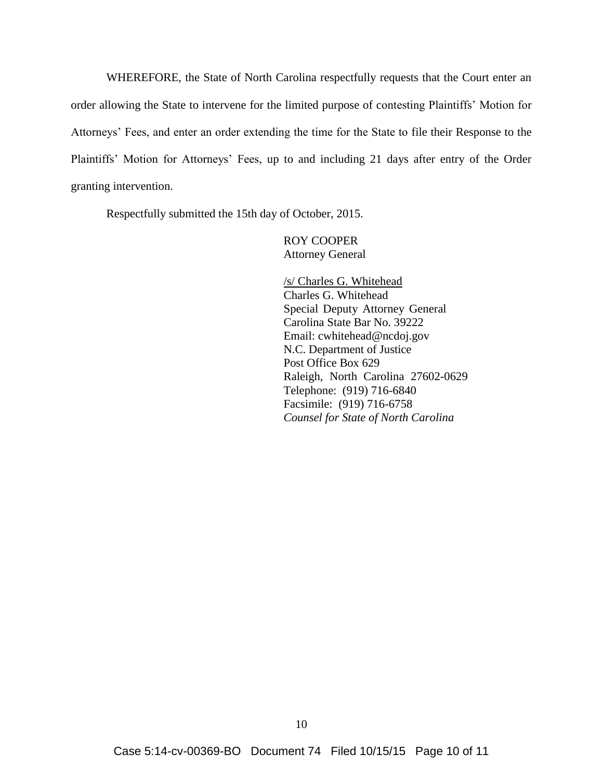WHEREFORE, the State of North Carolina respectfully requests that the Court enter an order allowing the State to intervene for the limited purpose of contesting Plaintiffs' Motion for Attorneys' Fees, and enter an order extending the time for the State to file their Response to the Plaintiffs' Motion for Attorneys' Fees, up to and including 21 days after entry of the Order granting intervention.

Respectfully submitted the 15th day of October, 2015.

ROY COOPER Attorney General

/s/ Charles G. Whitehead Charles G. Whitehead Special Deputy Attorney General Carolina State Bar No. 39222 Email: cwhitehead@ncdoj.gov N.C. Department of Justice Post Office Box 629 Raleigh, North Carolina 27602-0629 Telephone: (919) 716-6840 Facsimile: (919) 716-6758 *Counsel for State of North Carolina*